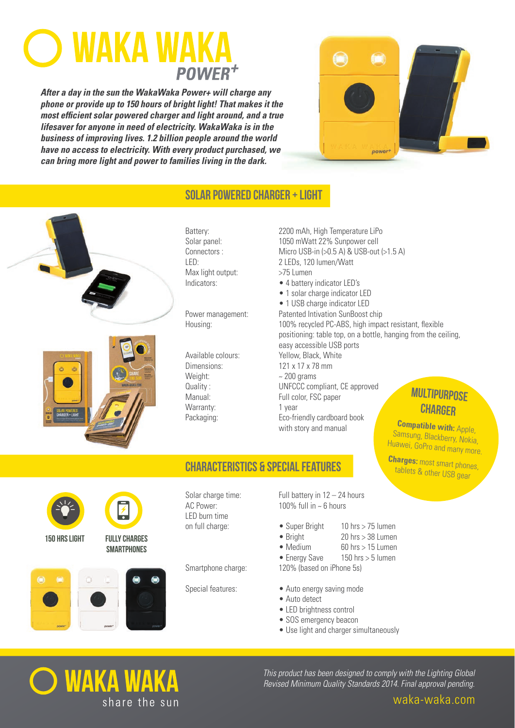# **WAKA WA POWER**

**After a day in the sun the WakaWaka Power+ will charge any phone or provide up to 150 hours of bright light! That makes it the most efficient solar powered charger and light around, and a true lifesaver for anyone in need of electricity. WakaWaka is in the business of improving lives. 1.2 billion people around the world have no access to electricity. With every product purchased, we can bring more light and power to families living in the dark.**



# Solar Powered Charger ± Light





Connectors: Max light output: >75 Lumen

Weight:  $\sim$  200 grams Quality: Warranty: 1 year

Battery: 2200 mAh, High Temperature LiPo Solar panel: 1050 mWatt 22% Sunpower cell Micro USB-in  $(>0.5$  A) & USB-out  $(>1.5$  A) LED: 2 LEDs. 120 lumen/Watt Indicators: • • 4 battery indicator LED's • 1 solar charge indicator LED • 1 USB charge indicator LED Power management: Patented Intivation SunBoost chip Housing: The Same of the State of PC-ABS, high impact resistant, flexible positioning: table top, on a bottle, hanging from the ceiling, easy accessible USB ports Available colours: Yellow, Black, White  $D$ imensions:  $121 \times 17 \times 78$  mm CC compliant, CE approved Manual: Full color, FSC paper Packaging: Eco-friendly cardboard book with story and manual

# Multipurpose **CHARGER**

**Compatible with: Apple,** Samsung, Blackberry, Nokia, Huawei, GoPro and many more

Charges: most smart phones, tablets & other USB gear



150 hrs light fully charges



**SMARTPHONES** 

## characteristics & special features

LED burn time

Smartphone charge: 120% (based on iPhone 5s)

Solar charge time: Full battery in  $12 - 24$  hours  $AC Power: 100\% full in ~6 hours$ 

- $\bullet$  Super Bright  $\bullet$  10 hrs > 75 lumen
	- $\bullet$  Bright 20 hrs  $>$  38 Lumen
	- $\bullet$  Medium 60 hrs > 15 Lumen
	- $\bullet$  Energy Save 150 hrs  $>$  5 lumen
		-
- Special features: Auto energy saving mode
	- $\bullet$  Auto detect
	- LED brightness control
	- SOS emergency beacon
	- Use light and charger simultaneously



This product has been designed to comply with the Lighting Global Revised Minimum Quality Standards 2014. Final approval pending.

waka-waka.com